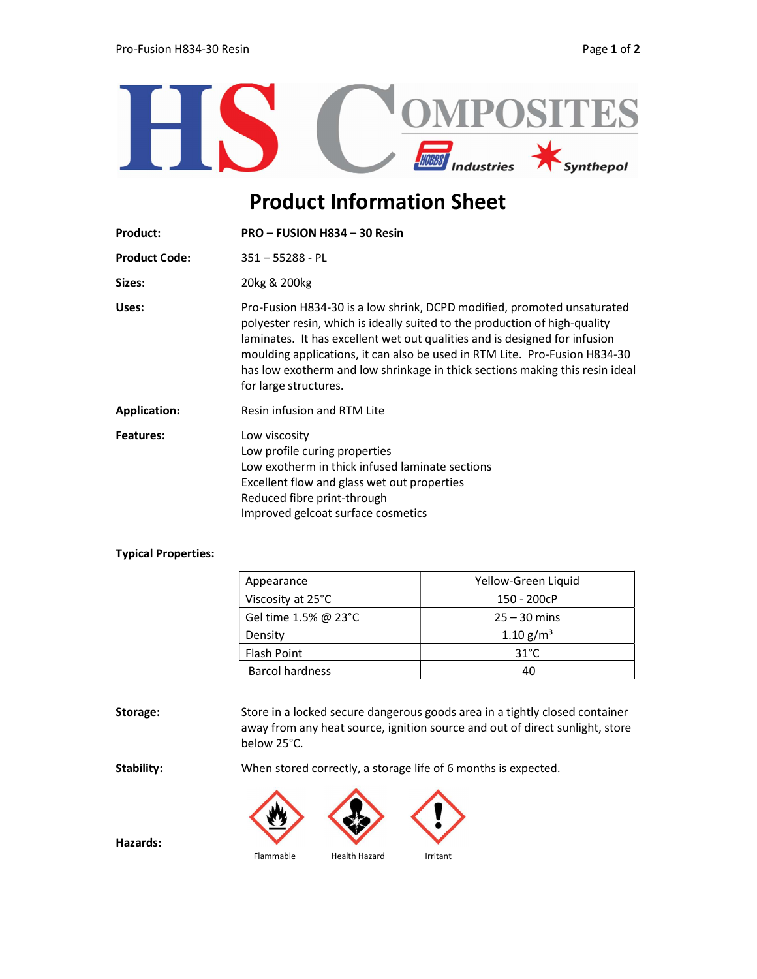

## Product Information Sheet

| <b>Product:</b>      | PRO - FUSION H834 - 30 Resin                                                                                                                                                                                                                                                                                                                                                                                               |  |
|----------------------|----------------------------------------------------------------------------------------------------------------------------------------------------------------------------------------------------------------------------------------------------------------------------------------------------------------------------------------------------------------------------------------------------------------------------|--|
| <b>Product Code:</b> | $351 - 55288 - PL$                                                                                                                                                                                                                                                                                                                                                                                                         |  |
| Sizes:               | 20kg & 200kg                                                                                                                                                                                                                                                                                                                                                                                                               |  |
| Uses:                | Pro-Fusion H834-30 is a low shrink, DCPD modified, promoted unsaturated<br>polyester resin, which is ideally suited to the production of high-quality<br>laminates. It has excellent wet out qualities and is designed for infusion<br>moulding applications, it can also be used in RTM Lite. Pro-Fusion H834-30<br>has low exotherm and low shrinkage in thick sections making this resin ideal<br>for large structures. |  |
| <b>Application:</b>  | Resin infusion and RTM Lite                                                                                                                                                                                                                                                                                                                                                                                                |  |
| <b>Features:</b>     | Low viscosity<br>Low profile curing properties<br>Low exotherm in thick infused laminate sections<br>Excellent flow and glass wet out properties<br>Reduced fibre print-through<br>Improved gelcoat surface cosmetics                                                                                                                                                                                                      |  |

## Typical Properties:

| Appearance                      | Yellow-Green Liquid     |
|---------------------------------|-------------------------|
| Viscosity at 25°C               | 150 - 200cP             |
| Gel time 1.5% @ 23 $^{\circ}$ C | $25 - 30$ mins          |
| Density                         | $1.10$ g/m <sup>3</sup> |
| <b>Flash Point</b>              | $31^{\circ}$ C          |
| <b>Barcol hardness</b>          | 40                      |

Storage: Store in a locked secure dangerous goods area in a tightly closed container away from any heat source, ignition source and out of direct sunlight, store below 25°C.

Stability: When stored correctly, a storage life of 6 months is expected.



Hazards: